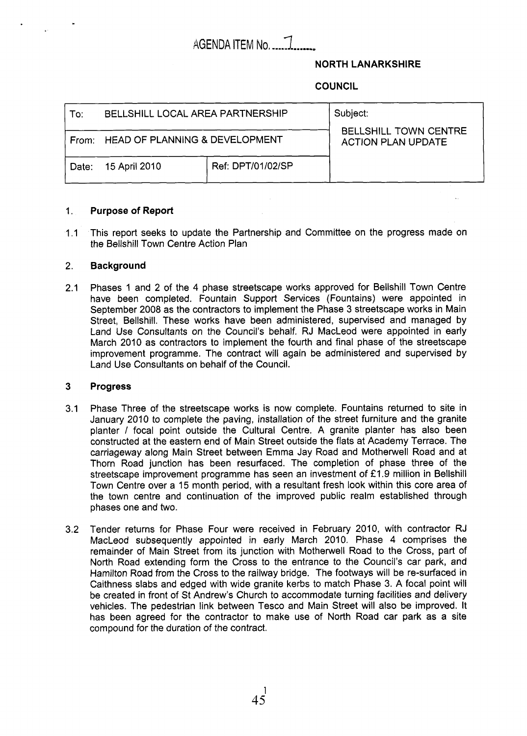# AGENDA ITEM No. *2* **-a**

# **NORTH LANARKSHIRE**

# **COUNCIL**

| To:   | BELLSHILL LOCAL AREA PARTNERSHIP     |                   | Subject:<br><b>BELLSHILL TOWN CENTRE</b><br><b>ACTION PLAN UPDATE</b> |
|-------|--------------------------------------|-------------------|-----------------------------------------------------------------------|
|       | From: HEAD OF PLANNING & DEVELOPMENT |                   |                                                                       |
| Date: | 15 April 2010                        | Ref: DPT/01/02/SP |                                                                       |

#### 1. **Purpose of Report**

 $1.1$ This report seeks to update the Partnership and Committee on the progress made on the Bellshill Town Centre Action Plan

#### 2. **Background**

2.1 Phases 1 and 2 of the 4 phase streetscape works approved for Bellshill Town Centre have been completed. Fountain Support Services (Fountains) were appointed in September 2008 as the contractors to implement the Phase 3 streetscape works in Main Street, Bellshill. These works have been administered, supervised and managed by Land Use Consultants on the Council's behalf. RJ MacLeod were appointed in early March 2010 as contractors to implement the fourth and final phase of the streetscape improvement programme. The contract will again be administered and supervised by Land Use Consultants on behalf of the Council.

#### **3 Progress**

- 3.1 Phase Three of the streetscape works is now complete. Fountains returned to site in January 2010 to complete the paving, installation of the street furniture and the granite planter / focal point outside the Cultural Centre. A granite planter has also been constructed at the eastern end of Main Street outside the flats at Academy Terrace. The carriageway along Main Street between Emma Jay Road and Motherwell Road and at Thorn Road junction has been resurfaced. The completion of phase three of the streetscape improvement programme has seen an investment of *f* 1.9 million in Bellshill Town Centre over a 15 month period, with a resultant fresh look within this core area of the town centre and continuation of the improved public realm established through phases one and two.
- 3.2 Tender returns for Phase Four were received in February 2010, with contractor RJ MacLeod subsequently appointed in early March 2010. Phase **4** comprises the remainder of Main Street from its junction with Motherwell Road to the Cross, part of North Road extending form the Cross to the entrance to the Council's car park, and Hamilton Road from the Cross to the railway bridge. The footways will be re-surfaced in Caithness slabs and edged with wide granite kerbs to match Phase 3. A focal point will be created in front of St Andrew's Church to accommodate turning facilities and delivery vehicles. The pedestrian link between Tesco and Main Street will also be improved. It has been agreed for the contractor to make use of North Road car park as a site compound for the duration of the contract.